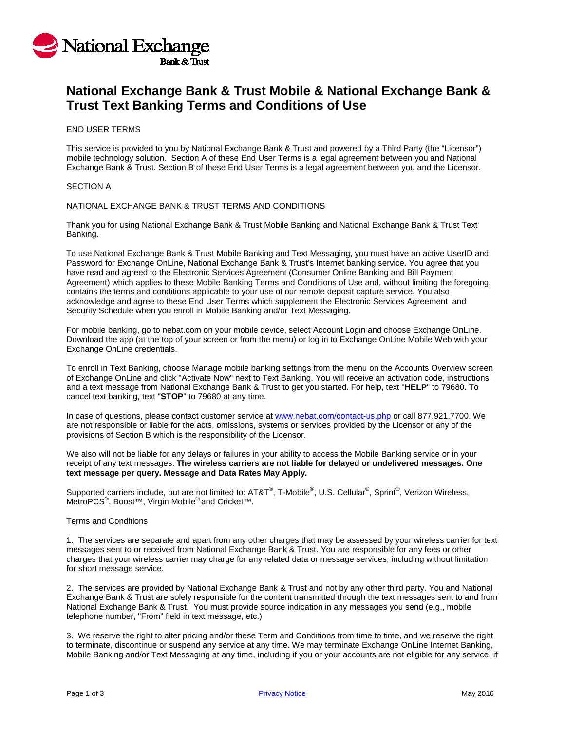

# **National Exchange Bank & Trust Mobile & National Exchange Bank & Trust Text Banking Terms and Conditions of Use**

### END USER TERMS

This service is provided to you by National Exchange Bank & Trust and powered by a Third Party (the "Licensor") mobile technology solution. Section A of these End User Terms is a legal agreement between you and National Exchange Bank & Trust. Section B of these End User Terms is a legal agreement between you and the Licensor.

#### SECTION A

### NATIONAL EXCHANGE BANK & TRUST TERMS AND CONDITIONS

Thank you for using National Exchange Bank & Trust Mobile Banking and National Exchange Bank & Trust Text Banking.

To use National Exchange Bank & Trust Mobile Banking and Text Messaging, you must have an active UserID and Password for Exchange OnLine, National Exchange Bank & Trust's Internet banking service. You agree that you have read and agreed to the Electronic Services Agreement (Consumer Online Banking and Bill Payment Agreement) which applies to these Mobile Banking Terms and Conditions of Use and, without limiting the foregoing, contains the terms and conditions applicable to your use of our remote deposit capture service. You also acknowledge and agree to these End User Terms which supplement the Electronic Services Agreement and Security Schedule when you enroll in Mobile Banking and/or Text Messaging.

For mobile banking, go to nebat.com on your mobile device, select Account Login and choose Exchange OnLine. Download the app (at the top of your screen or from the menu) or log in to Exchange OnLine Mobile Web with your Exchange OnLine credentials.

To enroll in Text Banking, choose Manage mobile banking settings from the menu on the Accounts Overview screen of Exchange OnLine and click "Activate Now" next to Text Banking. You will receive an activation code, instructions and a text message from National Exchange Bank & Trust to get you started. For help, text "**HELP**" to 79680. To cancel text banking, text "**STOP**" to 79680 at any time.

In case of questions, please contact customer service at [www.nebat.com/contact-us.php](http://www.nebat.com/contact-us.php) or call 877.921.7700. We are not responsible or liable for the acts, omissions, systems or services provided by the Licensor or any of the provisions of Section B which is the responsibility of the Licensor.

We also will not be liable for any delays or failures in your ability to access the Mobile Banking service or in your receipt of any text messages. **The wireless carriers are not liable for delayed or undelivered messages. One text message per query. Message and Data Rates May Apply.**

Supported carriers include, but are not limited to: AT&T®, T-Mobile®, U.S. Cellular®, Sprint®, Verizon Wireless, MetroPCS® , Boost™, Virgin Mobile® and Cricket™.

#### Terms and Conditions

1. The services are separate and apart from any other charges that may be assessed by your wireless carrier for text messages sent to or received from National Exchange Bank & Trust. You are responsible for any fees or other charges that your wireless carrier may charge for any related data or message services, including without limitation for short message service.

2. The services are provided by National Exchange Bank & Trust and not by any other third party. You and National Exchange Bank & Trust are solely responsible for the content transmitted through the text messages sent to and from National Exchange Bank & Trust. You must provide source indication in any messages you send (e.g., mobile telephone number, "From" field in text message, etc.)

3. We reserve the right to alter pricing and/or these Term and Conditions from time to time, and we reserve the right to terminate, discontinue or suspend any service at any time. We may terminate Exchange OnLine Internet Banking, Mobile Banking and/or Text Messaging at any time, including if you or your accounts are not eligible for any service, if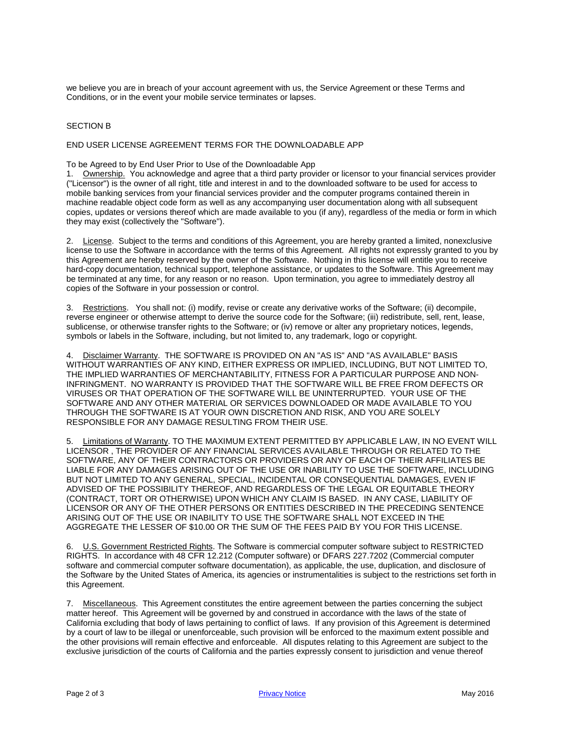we believe you are in breach of your account agreement with us, the Service Agreement or these Terms and Conditions, or in the event your mobile service terminates or lapses.

## SECTION B

# END USER LICENSE AGREEMENT TERMS FOR THE DOWNLOADABLE APP

To be Agreed to by End User Prior to Use of the Downloadable App

1. Ownership. You acknowledge and agree that a third party provider or licensor to your financial services provider ("Licensor") is the owner of all right, title and interest in and to the downloaded software to be used for access to mobile banking services from your financial services provider and the computer programs contained therein in machine readable object code form as well as any accompanying user documentation along with all subsequent copies, updates or versions thereof which are made available to you (if any), regardless of the media or form in which they may exist (collectively the "Software").

2. License. Subject to the terms and conditions of this Agreement, you are hereby granted a limited, nonexclusive license to use the Software in accordance with the terms of this Agreement. All rights not expressly granted to you by this Agreement are hereby reserved by the owner of the Software. Nothing in this license will entitle you to receive hard-copy documentation, technical support, telephone assistance, or updates to the Software. This Agreement may be terminated at any time, for any reason or no reason. Upon termination, you agree to immediately destroy all copies of the Software in your possession or control.

3. Restrictions. You shall not: (i) modify, revise or create any derivative works of the Software; (ii) decompile, reverse engineer or otherwise attempt to derive the source code for the Software; (iii) redistribute, sell, rent, lease, sublicense, or otherwise transfer rights to the Software; or (iv) remove or alter any proprietary notices, legends, symbols or labels in the Software, including, but not limited to, any trademark, logo or copyright.

4. Disclaimer Warranty. THE SOFTWARE IS PROVIDED ON AN "AS IS" AND "AS AVAILABLE" BASIS WITHOUT WARRANTIES OF ANY KIND, EITHER EXPRESS OR IMPLIED, INCLUDING, BUT NOT LIMITED TO, THE IMPLIED WARRANTIES OF MERCHANTABILITY, FITNESS FOR A PARTICULAR PURPOSE AND NON-INFRINGMENT. NO WARRANTY IS PROVIDED THAT THE SOFTWARE WILL BE FREE FROM DEFECTS OR VIRUSES OR THAT OPERATION OF THE SOFTWARE WILL BE UNINTERRUPTED. YOUR USE OF THE SOFTWARE AND ANY OTHER MATERIAL OR SERVICES DOWNLOADED OR MADE AVAILABLE TO YOU THROUGH THE SOFTWARE IS AT YOUR OWN DISCRETION AND RISK, AND YOU ARE SOLELY RESPONSIBLE FOR ANY DAMAGE RESULTING FROM THEIR USE.

5. Limitations of Warranty. TO THE MAXIMUM EXTENT PERMITTED BY APPLICABLE LAW, IN NO EVENT WILL LICENSOR , THE PROVIDER OF ANY FINANCIAL SERVICES AVAILABLE THROUGH OR RELATED TO THE SOFTWARE, ANY OF THEIR CONTRACTORS OR PROVIDERS OR ANY OF EACH OF THEIR AFFILIATES BE LIABLE FOR ANY DAMAGES ARISING OUT OF THE USE OR INABILITY TO USE THE SOFTWARE, INCLUDING BUT NOT LIMITED TO ANY GENERAL, SPECIAL, INCIDENTAL OR CONSEQUENTIAL DAMAGES, EVEN IF ADVISED OF THE POSSIBILITY THEREOF, AND REGARDLESS OF THE LEGAL OR EQUITABLE THEORY (CONTRACT, TORT OR OTHERWISE) UPON WHICH ANY CLAIM IS BASED. IN ANY CASE, LIABILITY OF LICENSOR OR ANY OF THE OTHER PERSONS OR ENTITIES DESCRIBED IN THE PRECEDING SENTENCE ARISING OUT OF THE USE OR INABILITY TO USE THE SOFTWARE SHALL NOT EXCEED IN THE AGGREGATE THE LESSER OF \$10.00 OR THE SUM OF THE FEES PAID BY YOU FOR THIS LICENSE.

6. U.S. Government Restricted Rights. The Software is commercial computer software subject to RESTRICTED RIGHTS. In accordance with 48 CFR 12.212 (Computer software) or DFARS 227.7202 (Commercial computer software and commercial computer software documentation), as applicable, the use, duplication, and disclosure of the Software by the United States of America, its agencies or instrumentalities is subject to the restrictions set forth in this Agreement.

7. Miscellaneous. This Agreement constitutes the entire agreement between the parties concerning the subject matter hereof. This Agreement will be governed by and construed in accordance with the laws of the state of California excluding that body of laws pertaining to conflict of laws. If any provision of this Agreement is determined by a court of law to be illegal or unenforceable, such provision will be enforced to the maximum extent possible and the other provisions will remain effective and enforceable. All disputes relating to this Agreement are subject to the exclusive jurisdiction of the courts of California and the parties expressly consent to jurisdiction and venue thereof